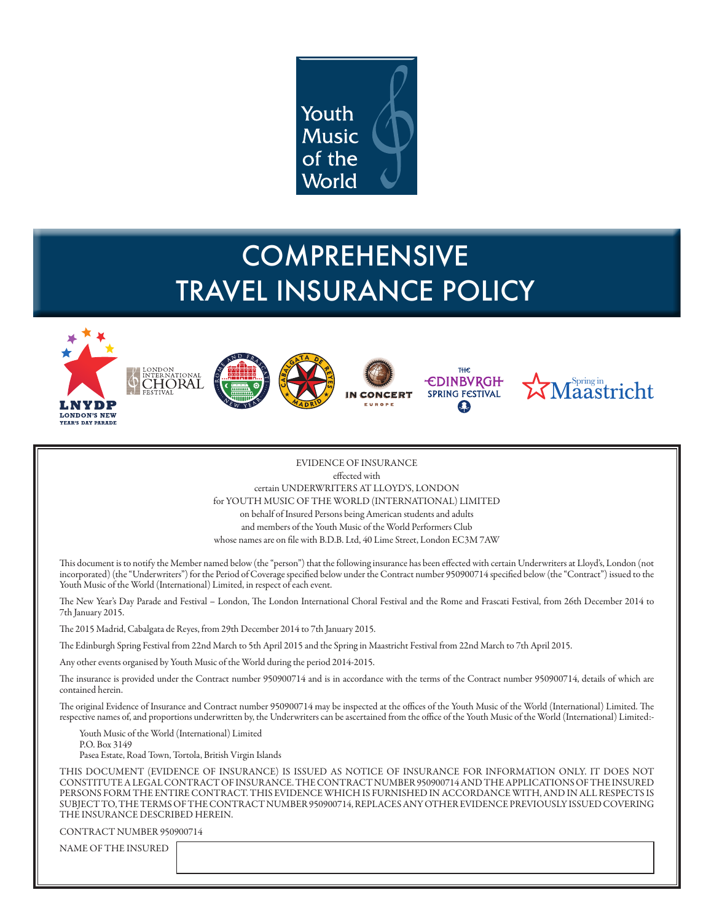

# **COMPREHENSIVE** TRAVEL INSURANCE POLICY











EVIDENCE OF INSURANCE effected with certain UNDERWRITERS AT LLOYD'S, LONDON for YOUTH MUSIC OF THE WORLD (INTERNATIONAL) LIMITED on behalf of Insured Persons being American students and adults and members of the Youth Music of the World Performers Club whose names are on file with B.D.B. Ltd, 40 Lime Street, London EC3M 7AW

This document is to notify the Member named below (the "person") that the following insurance has been effected with certain Underwriters at Lloyd's, London (not incorporated) (the "Underwriters") for the Period of Coverage specified below under the Contract number 950900714 specified below (the "Contract") issued to the Youth Music of the World (International) Limited, in respect of each event.

The New Year's Day Parade and Festival – London, The London International Choral Festival and the Rome and Frascati Festival, from 26th December 2014 to 7th January 2015.

The 2015 Madrid, Cabalgata de Reyes, from 29th December 2014 to 7th January 2015.

The Edinburgh Spring Festival from 22nd March to 5th April 2015 and the Spring in Maastricht Festival from 22nd March to 7th April 2015.

Any other events organised by Youth Music of the World during the period 2014-2015.

The insurance is provided under the Contract number 950900714 and is in accordance with the terms of the Contract number 950900714, details of which are contained herein.

The original Evidence of Insurance and Contract number 950900714 may be inspected at the offices of the Youth Music of the World (International) Limited. The respective names of, and proportions underwritten by, the Underwriters can be ascertained from the office of the Youth Music of the World (International) Limited:-

Youth Music of the World (International) Limited P.O. Box 3149 Pasea Estate, Road Town, Tortola, British Virgin Islands

THIS DOCUMENT (EVIDENCE OF INSURANCE) IS ISSUED AS NOTICE OF INSURANCE FOR INFORMATION ONLY. IT DOES NOT CONSTITUTE A LEGAL CONTRACT OF INSURANCE. THE CONTRACT NUMBER 950900714 AND THE APPLICATIONS OF THE INSURED PERSONS FORM THE ENTIRE CONTRACT. THIS EVIDENCE WHICH IS FURNISHED IN ACCORDANCE WITH, AND IN ALL RESPECTS IS SUBJECT TO, THE TERMS OF THE CONTRACT NUMBER 950900714, REPLACES ANY OTHER EVIDENCE PREVIOUSLY ISSUED COVERING THE INSURANCE DESCRIBED HEREIN.

CONTRACT NUMBER 950900714

NAME OF THE INSURED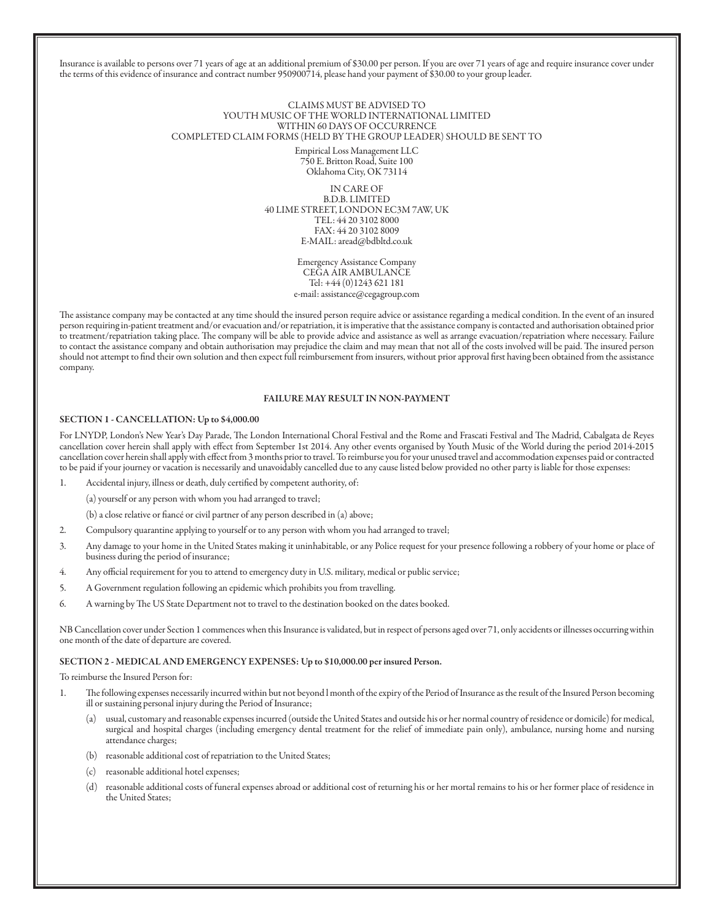Insurance is available to persons over 71 years of age at an additional premium of \$30.00 per person. If you are over 71 years of age and require insurance cover under the terms of this evidence of insurance and contract number 950900714, please hand your payment of \$30.00 to your group leader.

> CLAIMS MUST BE ADVISED TO YOUTH MUSIC OF THE WORLD INTERNATIONAL LIMITED WITHIN 60 DAYS OF OCCURRENCE COMPLETED CLAIM FORMS (HELD BY THE GROUP LEADER) SHOULD BE SENT TO Empirical Loss Management LLC 750 E. Britton Road, Suite 100 Oklahoma City, OK 73114

> > IN CARE OF B.D.B. LIMITED 40 LIME STREET, LONDON EC3M 7AW, UK TEL: 44 20 3102 8000 FAX: 44 20 3102 8009 E-MAIL: aread@bdbltd.co.uk

> > > Emergency Assistance Company CEGA AIR AMBULANCE Tel: +44 (0)1243 621 181 e-mail: assistance@cegagroup.com

The assistance company may be contacted at any time should the insured person require advice or assistance regarding a medical condition. In the event of an insured person requiring in-patient treatment and/or evacuation and/or repatriation, it is imperative that the assistance company is contacted and authorisation obtained prior to treatment/repatriation taking place. The company will be able to provide advice and assistance as well as arrange evacuation/repatriation where necessary. Failure to contact the assistance company and obtain authorisation may prejudice the claim and may mean that not all of the costs involved will be paid. The insured person should not attempt to find their own solution and then expect full reimbursement from insurers, without prior approval first having been obtained from the assistance company.

#### FAILURE MAY RESULT IN NON-PAYMENT

#### SECTION 1 - CANCELLATION: Up to \$4,000.00

For LNYDP, London's New Year's Day Parade, The London International Choral Festival and the Rome and Frascati Festival and The Madrid, Cabalgata de Reyes cancellation cover herein shall apply with effect from September 1st 2014. Any other events organised by Youth Music of the World during the period 2014-2015 cancellation cover herein shall apply with effect from 3 months prior to travel. To reimburse you for your unused travel and accommodation expenses paid or contracted to be paid if your journey or vacation is necessarily and unavoidably cancelled due to any cause listed below provided no other party is liable for those expenses:

1. Accidental injury, illness or death, duly certified by competent authority, of:

(a) yourself or any person with whom you had arranged to travel;

(b) a close relative or fiancé or civil partner of any person described in (a) above;

- 2. Compulsory quarantine applying to yourself or to any person with whom you had arranged to travel;
- 3. Any damage to your home in the United States making it uninhabitable, or any Police request for your presence following a robbery of your home or place of business during the period of insurance;
- 4. Any official requirement for you to attend to emergency duty in U.S. military, medical or public service;
- 5. A Government regulation following an epidemic which prohibits you from travelling.
- 6. A warning by The US State Department not to travel to the destination booked on the dates booked.

NB Cancellation cover under Section 1 commences when this Insurance is validated, but in respect of persons aged over 71, only accidents or illnesses occurring within one month of the date of departure are covered.

#### SECTION 2 - MEDICAL AND EMERGENCY EXPENSES: Up to \$10,000.00 per insured Person.

To reimburse the Insured Person for:

- 1. The following expenses necessarily incurred within but not beyond l month of the expiry of the Period of Insurance as the result of the Insured Person becoming ill or sustaining personal injury during the Period of Insurance;
	- (a) usual, customary and reasonable expenses incurred (outside the United States and outside his or her normal country of residence or domicile) for medical, surgical and hospital charges (including emergency dental treatment for the relief of immediate pain only), ambulance, nursing home and nursing attendance charges;
	- (b) reasonable additional cost of repatriation to the United States;
	- (c) reasonable additional hotel expenses;
	- (d) reasonable additional costs of funeral expenses abroad or additional cost of returning his or her mortal remains to his or her former place of residence in the United States;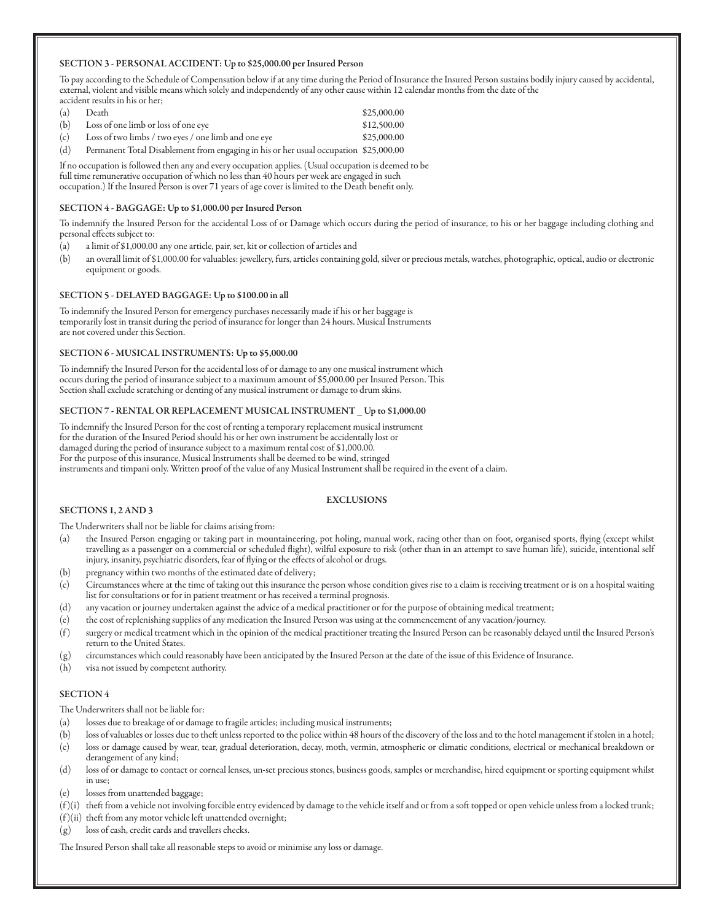### SECTION 3 - PERSONAL ACCIDENT: Up to \$25,000.00 per Insured Person

To pay according to the Schedule of Compensation below if at any time during the Period of Insurance the Insured Person sustains bodily injury caused by accidental, external, violent and visible means which solely and independently of any other cause within 12 calendar months from the date of the accident results in his or her;

| (a) | Death                                                                                | \$25,000.00 |
|-----|--------------------------------------------------------------------------------------|-------------|
| (b) | Loss of one limb or loss of one eye                                                  | \$12,500.00 |
| (c) | Loss of two limbs / two eyes / one limb and one eye                                  | \$25,000.00 |
| (d) | Permanent Total Disablement from engaging in his or her usual occupation \$25,000.00 |             |

If no occupation is followed then any and every occupation applies. (Usual occupation is deemed to be full time remunerative occupation of which no less than 40 hours per week are engaged in such occupation.) If the Insured Person is over 71 years of age cover is limited to the Death benefit only.

#### SECTION 4 - BAGGAGE: Up to \$1,000.00 per Insured Person

To indemnify the Insured Person for the accidental Loss of or Damage which occurs during the period of insurance, to his or her baggage including clothing and personal effects subject to:

- (a) a limit of \$1,000.00 any one article, pair, set, kit or collection of articles and
- (b) an overall limit of \$1,000.00 for valuables: jewellery, furs, articles containing gold, silver or precious metals, watches, photographic, optical, audio or electronic equipment or goods.

#### SECTION 5 - DELAYED BAGGAGE: Up to \$100.00 in all

To indemnify the Insured Person for emergency purchases necessarily made if his or her baggage is temporarily lost in transit during the period of insurance for longer than 24 hours. Musical Instruments are not covered under this Section.

#### SECTION 6 - MUSICAL INSTRUMENTS: Up to \$5,000.00

To indemnify the Insured Person for the accidental loss of or damage to any one musical instrument which occurs during the period of insurance subject to a maximum amount of \$5,000.00 per Insured Person. This Section shall exclude scratching or denting of any musical instrument or damage to drum skins.

#### SECTION 7 - RENTAL OR REPLACEMENT MUSICAL INSTRUMENT \_ Up to \$1,000.00

To indemnify the Insured Person for the cost of renting a temporary replacement musical instrument for the duration of the Insured Period should his or her own instrument be accidentally lost or damaged during the period of insurance subject to a maximum rental cost of \$1,000.00. For the purpose of this insurance, Musical Instruments shall be deemed to be wind, stringed instruments and timpani only. Written proof of the value of any Musical Instrument shall be required in the event of a claim.

## EXCLUSIONS

#### SECTIONS 1, 2 AND 3

The Underwriters shall not be liable for claims arising from:

- (a) the Insured Person engaging or taking part in mountaineering, pot holing, manual work, racing other than on foot, organised sports, flying (except whilst travelling as a passenger on a commercial or scheduled flight), wilful exposure to risk (other than in an attempt to save human life), suicide, intentional self injury, insanity, psychiatric disorders, fear of flying or the effects of alcohol or drugs.
- (b) pregnancy within two months of the estimated date of delivery;
- (c) Circumstances where at the time of taking out this insurance the person whose condition gives rise to a claim is receiving treatment or is on a hospital waiting list for consultations or for in patient treatment or has received a terminal prognosis.
- (d) any vacation or journey undertaken against the advice of a medical practitioner or for the purpose of obtaining medical treatment;
- (e) the cost of replenishing supplies of any medication the Insured Person was using at the commencement of any vacation/journey.
- (f ) surgery or medical treatment which in the opinion of the medical practitioner treating the Insured Person can be reasonably delayed until the Insured Person's return to the United States.
- (g) circumstances which could reasonably have been anticipated by the Insured Person at the date of the issue of this Evidence of Insurance.
- (h) visa not issued by competent authority.

#### SECTION 4

The Underwriters shall not be liable for:

- (a) losses due to breakage of or damage to fragile articles; including musical instruments;
- (b) loss of valuables or losses due to theft unless reported to the police within 48 hours of the discovery of the loss and to the hotel management if stolen in a hotel;
- (c) loss or damage caused by wear, tear, gradual deterioration, decay, moth, vermin, atmospheric or climatic conditions, electrical or mechanical breakdown or derangement of any kind;
- (d) loss of or damage to contact or corneal lenses, un-set precious stones, business goods, samples or merchandise, hired equipment or sporting equipment whilst in use;

(e) losses from unattended baggage;

- (f )(i) theft from a vehicle not involving forcible entry evidenced by damage to the vehicle itself and or from a soft topped or open vehicle unless from a locked trunk;
- $(f)(ii)$  theft from any motor vehicle left unattended overnight;
- (g) loss of cash, credit cards and travellers checks.

The Insured Person shall take all reasonable steps to avoid or minimise any loss or damage.